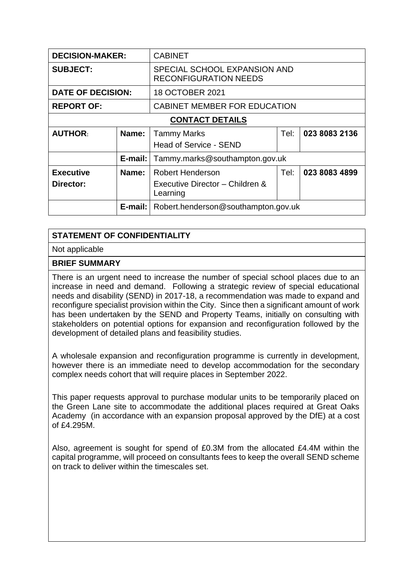| <b>DECISION-MAKER:</b>        |            | <b>CABINET</b>                                                         |      |               |
|-------------------------------|------------|------------------------------------------------------------------------|------|---------------|
| <b>SUBJECT:</b>               |            | SPECIAL SCHOOL EXPANSION AND<br><b>RECONFIGURATION NEEDS</b>           |      |               |
| <b>DATE OF DECISION:</b>      |            | 18 OCTOBER 2021                                                        |      |               |
| <b>REPORT OF:</b>             |            | CABINET MEMBER FOR EDUCATION                                           |      |               |
| <b>CONTACT DETAILS</b>        |            |                                                                        |      |               |
| <b>AUTHOR:</b>                | Name:      | <b>Tammy Marks</b><br><b>Head of Service - SEND</b>                    | Tel: | 023 8083 2136 |
|                               | $E$ -mail: | Tammy.marks@southampton.gov.uk                                         |      |               |
| <b>Executive</b><br>Director: | Name:      | <b>Robert Henderson</b><br>Executive Director - Children &<br>Learning | Tel: | 023 8083 4899 |
| $E$ -mail:                    |            | Robert.henderson@southampton.gov.uk                                    |      |               |

## **STATEMENT OF CONFIDENTIALITY**

Not applicable

## **BRIEF SUMMARY**

There is an urgent need to increase the number of special school places due to an increase in need and demand. Following a strategic review of special educational needs and disability (SEND) in 2017-18, a recommendation was made to expand and reconfigure specialist provision within the City. Since then a significant amount of work has been undertaken by the SEND and Property Teams, initially on consulting with stakeholders on potential options for expansion and reconfiguration followed by the development of detailed plans and feasibility studies.

A wholesale expansion and reconfiguration programme is currently in development, however there is an immediate need to develop accommodation for the secondary complex needs cohort that will require places in September 2022.

This paper requests approval to purchase modular units to be temporarily placed on the Green Lane site to accommodate the additional places required at Great Oaks Academy (in accordance with an expansion proposal approved by the DfE) at a cost of £4.295M.

Also, agreement is sought for spend of £0.3M from the allocated £4.4M within the capital programme, will proceed on consultants fees to keep the overall SEND scheme on track to deliver within the timescales set.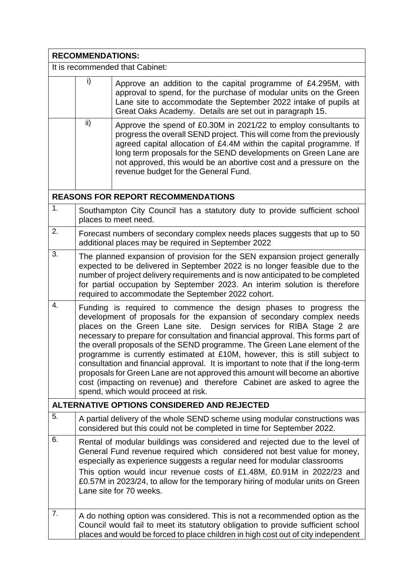| <b>RECOMMENDATIONS:</b>         |                                                                                                                                                                                                                                                                                                                                                                                                                                                                                                                                                                                                                                                                                                                                                              |                                                                                                                                                                                                                                                                                                                                                                                                                           |  |  |
|---------------------------------|--------------------------------------------------------------------------------------------------------------------------------------------------------------------------------------------------------------------------------------------------------------------------------------------------------------------------------------------------------------------------------------------------------------------------------------------------------------------------------------------------------------------------------------------------------------------------------------------------------------------------------------------------------------------------------------------------------------------------------------------------------------|---------------------------------------------------------------------------------------------------------------------------------------------------------------------------------------------------------------------------------------------------------------------------------------------------------------------------------------------------------------------------------------------------------------------------|--|--|
| It is recommended that Cabinet: |                                                                                                                                                                                                                                                                                                                                                                                                                                                                                                                                                                                                                                                                                                                                                              |                                                                                                                                                                                                                                                                                                                                                                                                                           |  |  |
|                                 | i)                                                                                                                                                                                                                                                                                                                                                                                                                                                                                                                                                                                                                                                                                                                                                           | Approve an addition to the capital programme of £4.295M, with<br>approval to spend, for the purchase of modular units on the Green<br>Lane site to accommodate the September 2022 intake of pupils at<br>Great Oaks Academy. Details are set out in paragraph 15.                                                                                                                                                         |  |  |
|                                 | ii)                                                                                                                                                                                                                                                                                                                                                                                                                                                                                                                                                                                                                                                                                                                                                          | Approve the spend of £0.30M in 2021/22 to employ consultants to<br>progress the overall SEND project. This will come from the previously<br>agreed capital allocation of £4.4M within the capital programme. If<br>long term proposals for the SEND developments on Green Lane are<br>not approved, this would be an abortive cost and a pressure on the<br>revenue budget for the General Fund.                          |  |  |
|                                 |                                                                                                                                                                                                                                                                                                                                                                                                                                                                                                                                                                                                                                                                                                                                                              | <b>REASONS FOR REPORT RECOMMENDATIONS</b>                                                                                                                                                                                                                                                                                                                                                                                 |  |  |
| 1.                              |                                                                                                                                                                                                                                                                                                                                                                                                                                                                                                                                                                                                                                                                                                                                                              | Southampton City Council has a statutory duty to provide sufficient school<br>places to meet need.                                                                                                                                                                                                                                                                                                                        |  |  |
| 2.                              |                                                                                                                                                                                                                                                                                                                                                                                                                                                                                                                                                                                                                                                                                                                                                              | Forecast numbers of secondary complex needs places suggests that up to 50<br>additional places may be required in September 2022                                                                                                                                                                                                                                                                                          |  |  |
| 3.                              | The planned expansion of provision for the SEN expansion project generally<br>expected to be delivered in September 2022 is no longer feasible due to the<br>number of project delivery requirements and is now anticipated to be completed<br>for partial occupation by September 2023. An interim solution is therefore<br>required to accommodate the September 2022 cohort.                                                                                                                                                                                                                                                                                                                                                                              |                                                                                                                                                                                                                                                                                                                                                                                                                           |  |  |
| 4.                              | Funding is required to commence the design phases to progress the<br>development of proposals for the expansion of secondary complex needs<br>places on the Green Lane site. Design services for RIBA Stage 2 are<br>necessary to prepare for consultation and financial approval. This forms part of<br>the overall proposals of the SEND programme. The Green Lane element of the<br>programme is currently estimated at £10M, however, this is still subject to<br>consultation and financial approval. It is important to note that if the long-term<br>proposals for Green Lane are not approved this amount will become an abortive<br>cost (impacting on revenue) and therefore Cabinet are asked to agree the<br>spend, which would proceed at risk. |                                                                                                                                                                                                                                                                                                                                                                                                                           |  |  |
|                                 |                                                                                                                                                                                                                                                                                                                                                                                                                                                                                                                                                                                                                                                                                                                                                              | <b>ALTERNATIVE OPTIONS CONSIDERED AND REJECTED</b>                                                                                                                                                                                                                                                                                                                                                                        |  |  |
| 5.                              |                                                                                                                                                                                                                                                                                                                                                                                                                                                                                                                                                                                                                                                                                                                                                              | A partial delivery of the whole SEND scheme using modular constructions was<br>considered but this could not be completed in time for September 2022.                                                                                                                                                                                                                                                                     |  |  |
| 6.                              |                                                                                                                                                                                                                                                                                                                                                                                                                                                                                                                                                                                                                                                                                                                                                              | Rental of modular buildings was considered and rejected due to the level of<br>General Fund revenue required which considered not best value for money,<br>especially as experience suggests a regular need for modular classrooms<br>This option would incur revenue costs of £1.48M, £0.91M in 2022/23 and<br>£0.57M in 2023/24, to allow for the temporary hiring of modular units on Green<br>Lane site for 70 weeks. |  |  |
| 7.                              |                                                                                                                                                                                                                                                                                                                                                                                                                                                                                                                                                                                                                                                                                                                                                              | A do nothing option was considered. This is not a recommended option as the<br>Council would fail to meet its statutory obligation to provide sufficient school<br>places and would be forced to place children in high cost out of city independent                                                                                                                                                                      |  |  |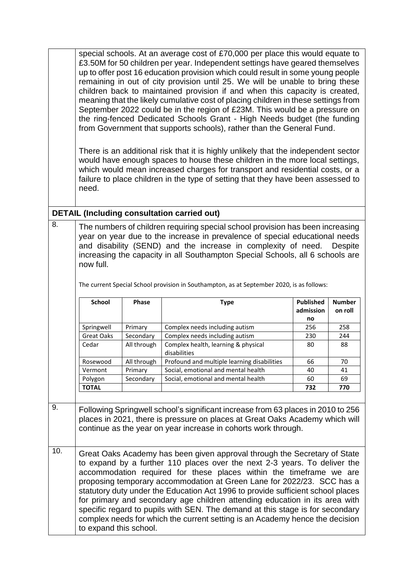|           | special schools. At an average cost of £70,000 per place this would equate to<br>£3.50M for 50 children per year. Independent settings have geared themselves<br>up to offer post 16 education provision which could result in some young people<br>remaining in out of city provision until 25. We will be unable to bring these<br>children back to maintained provision if and when this capacity is created,<br>meaning that the likely cumulative cost of placing children in these settings from<br>September 2022 could be in the region of £23M. This would be a pressure on<br>the ring-fenced Dedicated Schools Grant - High Needs budget (the funding<br>from Government that supports schools), rather than the General Fund.<br>There is an additional risk that it is highly unlikely that the independent sector<br>would have enough spaces to house these children in the more local settings,<br>which would mean increased charges for transport and residential costs, or a<br>failure to place children in the type of setting that they have been assessed to<br>need. |                          |                                                                                                                                                                                                                                    |                               |                          |
|-----------|----------------------------------------------------------------------------------------------------------------------------------------------------------------------------------------------------------------------------------------------------------------------------------------------------------------------------------------------------------------------------------------------------------------------------------------------------------------------------------------------------------------------------------------------------------------------------------------------------------------------------------------------------------------------------------------------------------------------------------------------------------------------------------------------------------------------------------------------------------------------------------------------------------------------------------------------------------------------------------------------------------------------------------------------------------------------------------------------|--------------------------|------------------------------------------------------------------------------------------------------------------------------------------------------------------------------------------------------------------------------------|-------------------------------|--------------------------|
|           |                                                                                                                                                                                                                                                                                                                                                                                                                                                                                                                                                                                                                                                                                                                                                                                                                                                                                                                                                                                                                                                                                              |                          | <b>DETAIL (Including consultation carried out)</b>                                                                                                                                                                                 |                               |                          |
| 8.        | The numbers of children requiring special school provision has been increasing<br>year on year due to the increase in prevalence of special educational needs<br>and disability (SEND) and the increase in complexity of need.<br><b>Despite</b><br>increasing the capacity in all Southampton Special Schools, all 6 schools are<br>now full.<br>The current Special School provision in Southampton, as at September 2020, is as follows:                                                                                                                                                                                                                                                                                                                                                                                                                                                                                                                                                                                                                                                  |                          |                                                                                                                                                                                                                                    |                               |                          |
|           |                                                                                                                                                                                                                                                                                                                                                                                                                                                                                                                                                                                                                                                                                                                                                                                                                                                                                                                                                                                                                                                                                              |                          |                                                                                                                                                                                                                                    |                               |                          |
|           | <b>School</b>                                                                                                                                                                                                                                                                                                                                                                                                                                                                                                                                                                                                                                                                                                                                                                                                                                                                                                                                                                                                                                                                                | Phase                    | <b>Type</b>                                                                                                                                                                                                                        | <b>Published</b><br>admission | <b>Number</b><br>on roll |
|           |                                                                                                                                                                                                                                                                                                                                                                                                                                                                                                                                                                                                                                                                                                                                                                                                                                                                                                                                                                                                                                                                                              |                          |                                                                                                                                                                                                                                    | no                            |                          |
|           | Springwell                                                                                                                                                                                                                                                                                                                                                                                                                                                                                                                                                                                                                                                                                                                                                                                                                                                                                                                                                                                                                                                                                   | Primary                  | Complex needs including autism                                                                                                                                                                                                     | 256                           | 258                      |
|           | Great Oaks<br>Cedar                                                                                                                                                                                                                                                                                                                                                                                                                                                                                                                                                                                                                                                                                                                                                                                                                                                                                                                                                                                                                                                                          | Secondary<br>All through | Complex needs including autism<br>Complex health, learning & physical<br>disabilities                                                                                                                                              | 230<br>80                     | 244<br>88                |
|           | Rosewood                                                                                                                                                                                                                                                                                                                                                                                                                                                                                                                                                                                                                                                                                                                                                                                                                                                                                                                                                                                                                                                                                     | All through              | Profound and multiple learning disabilities                                                                                                                                                                                        | 66                            | 70                       |
|           | Vermont                                                                                                                                                                                                                                                                                                                                                                                                                                                                                                                                                                                                                                                                                                                                                                                                                                                                                                                                                                                                                                                                                      | Primary                  | Social, emotional and mental health                                                                                                                                                                                                | 40                            | 41                       |
|           | Polygon                                                                                                                                                                                                                                                                                                                                                                                                                                                                                                                                                                                                                                                                                                                                                                                                                                                                                                                                                                                                                                                                                      | Secondary                | Social, emotional and mental health                                                                                                                                                                                                | 60                            | 69                       |
|           | <b>TOTAL</b>                                                                                                                                                                                                                                                                                                                                                                                                                                                                                                                                                                                                                                                                                                                                                                                                                                                                                                                                                                                                                                                                                 |                          |                                                                                                                                                                                                                                    | 732                           | 770                      |
| 9.<br>10. |                                                                                                                                                                                                                                                                                                                                                                                                                                                                                                                                                                                                                                                                                                                                                                                                                                                                                                                                                                                                                                                                                              |                          | Following Springwell school's significant increase from 63 places in 2010 to 256<br>places in 2021, there is pressure on places at Great Oaks Academy which will<br>continue as the year on year increase in cohorts work through. |                               |                          |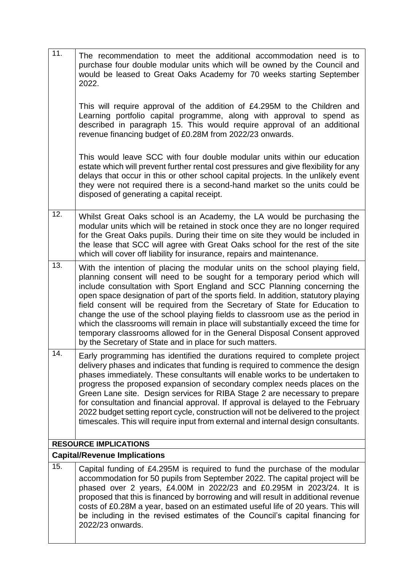| 11.                          | The recommendation to meet the additional accommodation need is to<br>purchase four double modular units which will be owned by the Council and<br>would be leased to Great Oaks Academy for 70 weeks starting September<br>2022.                                                                                                                                                                                                                                                                                                                                                                                                                                                                                       |  |  |  |
|------------------------------|-------------------------------------------------------------------------------------------------------------------------------------------------------------------------------------------------------------------------------------------------------------------------------------------------------------------------------------------------------------------------------------------------------------------------------------------------------------------------------------------------------------------------------------------------------------------------------------------------------------------------------------------------------------------------------------------------------------------------|--|--|--|
|                              | This will require approval of the addition of £4.295M to the Children and<br>Learning portfolio capital programme, along with approval to spend as<br>described in paragraph 15. This would require approval of an additional<br>revenue financing budget of £0.28M from 2022/23 onwards.                                                                                                                                                                                                                                                                                                                                                                                                                               |  |  |  |
|                              | This would leave SCC with four double modular units within our education<br>estate which will prevent further rental cost pressures and give flexibility for any<br>delays that occur in this or other school capital projects. In the unlikely event<br>they were not required there is a second-hand market so the units could be<br>disposed of generating a capital receipt.                                                                                                                                                                                                                                                                                                                                        |  |  |  |
| 12.                          | Whilst Great Oaks school is an Academy, the LA would be purchasing the<br>modular units which will be retained in stock once they are no longer required<br>for the Great Oaks pupils. During their time on site they would be included in<br>the lease that SCC will agree with Great Oaks school for the rest of the site<br>which will cover off liability for insurance, repairs and maintenance.                                                                                                                                                                                                                                                                                                                   |  |  |  |
| 13.                          | With the intention of placing the modular units on the school playing field,<br>planning consent will need to be sought for a temporary period which will<br>include consultation with Sport England and SCC Planning concerning the<br>open space designation of part of the sports field. In addition, statutory playing<br>field consent will be required from the Secretary of State for Education to<br>change the use of the school playing fields to classroom use as the period in<br>which the classrooms will remain in place will substantially exceed the time for<br>temporary classrooms allowed for in the General Disposal Consent approved<br>by the Secretary of State and in place for such matters. |  |  |  |
| 14.                          | Early programming has identified the durations required to complete project<br>delivery phases and indicates that funding is required to commence the design<br>phases immediately. These consultants will enable works to be undertaken to<br>progress the proposed expansion of secondary complex needs places on the<br>Green Lane site. Design services for RIBA Stage 2 are necessary to prepare<br>for consultation and financial approval. If approval is delayed to the February<br>2022 budget setting report cycle, construction will not be delivered to the project<br>timescales. This will require input from external and internal design consultants.                                                   |  |  |  |
| <b>RESOURCE IMPLICATIONS</b> |                                                                                                                                                                                                                                                                                                                                                                                                                                                                                                                                                                                                                                                                                                                         |  |  |  |
|                              | <b>Capital/Revenue Implications</b>                                                                                                                                                                                                                                                                                                                                                                                                                                                                                                                                                                                                                                                                                     |  |  |  |
| 15.                          | Capital funding of £4.295M is required to fund the purchase of the modular<br>accommodation for 50 pupils from September 2022. The capital project will be<br>phased over 2 years, £4.00M in 2022/23 and £0.295M in 2023/24. It is<br>proposed that this is financed by borrowing and will result in additional revenue<br>costs of £0.28M a year, based on an estimated useful life of 20 years. This will<br>be including in the revised estimates of the Council's capital financing for<br>2022/23 onwards.                                                                                                                                                                                                         |  |  |  |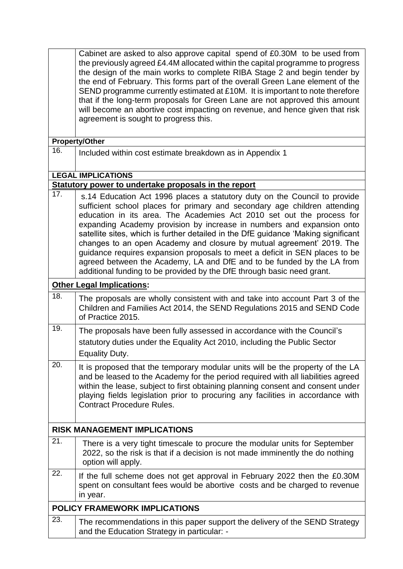|                                     | Cabinet are asked to also approve capital spend of £0.30M to be used from<br>the previously agreed £4.4M allocated within the capital programme to progress<br>the design of the main works to complete RIBA Stage 2 and begin tender by<br>the end of February. This forms part of the overall Green Lane element of the<br>SEND programme currently estimated at £10M. It is important to note therefore<br>that if the long-term proposals for Green Lane are not approved this amount<br>will become an abortive cost impacting on revenue, and hence given that risk<br>agreement is sought to progress this.                                                                                         |  |  |
|-------------------------------------|------------------------------------------------------------------------------------------------------------------------------------------------------------------------------------------------------------------------------------------------------------------------------------------------------------------------------------------------------------------------------------------------------------------------------------------------------------------------------------------------------------------------------------------------------------------------------------------------------------------------------------------------------------------------------------------------------------|--|--|
|                                     | <b>Property/Other</b>                                                                                                                                                                                                                                                                                                                                                                                                                                                                                                                                                                                                                                                                                      |  |  |
| 16.                                 | Included within cost estimate breakdown as in Appendix 1                                                                                                                                                                                                                                                                                                                                                                                                                                                                                                                                                                                                                                                   |  |  |
|                                     | <b>LEGAL IMPLICATIONS</b>                                                                                                                                                                                                                                                                                                                                                                                                                                                                                                                                                                                                                                                                                  |  |  |
| 17.                                 | Statutory power to undertake proposals in the report                                                                                                                                                                                                                                                                                                                                                                                                                                                                                                                                                                                                                                                       |  |  |
|                                     | s.14 Education Act 1996 places a statutory duty on the Council to provide<br>sufficient school places for primary and secondary age children attending<br>education in its area. The Academies Act 2010 set out the process for<br>expanding Academy provision by increase in numbers and expansion onto<br>satellite sites, which is further detailed in the DfE guidance 'Making significant<br>changes to an open Academy and closure by mutual agreement' 2019. The<br>guidance requires expansion proposals to meet a deficit in SEN places to be<br>agreed between the Academy, LA and DfE and to be funded by the LA from<br>additional funding to be provided by the DfE through basic need grant. |  |  |
|                                     | <b>Other Legal Implications:</b>                                                                                                                                                                                                                                                                                                                                                                                                                                                                                                                                                                                                                                                                           |  |  |
| 18.                                 | The proposals are wholly consistent with and take into account Part 3 of the<br>Children and Families Act 2014, the SEND Regulations 2015 and SEND Code<br>of Practice 2015.                                                                                                                                                                                                                                                                                                                                                                                                                                                                                                                               |  |  |
| 19.                                 | The proposals have been fully assessed in accordance with the Council's<br>statutory duties under the Equality Act 2010, including the Public Sector<br><b>Equality Duty.</b>                                                                                                                                                                                                                                                                                                                                                                                                                                                                                                                              |  |  |
| 20.                                 | It is proposed that the temporary modular units will be the property of the LA<br>and be leased to the Academy for the period required with all liabilities agreed<br>within the lease, subject to first obtaining planning consent and consent under<br>playing fields legislation prior to procuring any facilities in accordance with<br><b>Contract Procedure Rules.</b>                                                                                                                                                                                                                                                                                                                               |  |  |
| <b>RISK MANAGEMENT IMPLICATIONS</b> |                                                                                                                                                                                                                                                                                                                                                                                                                                                                                                                                                                                                                                                                                                            |  |  |
| 21.                                 | There is a very tight timescale to procure the modular units for September<br>2022, so the risk is that if a decision is not made imminently the do nothing<br>option will apply.                                                                                                                                                                                                                                                                                                                                                                                                                                                                                                                          |  |  |
| 22.                                 | If the full scheme does not get approval in February 2022 then the £0.30M<br>spent on consultant fees would be abortive costs and be charged to revenue<br>in year.                                                                                                                                                                                                                                                                                                                                                                                                                                                                                                                                        |  |  |
|                                     | <b>POLICY FRAMEWORK IMPLICATIONS</b>                                                                                                                                                                                                                                                                                                                                                                                                                                                                                                                                                                                                                                                                       |  |  |
| 23.                                 | The recommendations in this paper support the delivery of the SEND Strategy<br>and the Education Strategy in particular: -                                                                                                                                                                                                                                                                                                                                                                                                                                                                                                                                                                                 |  |  |